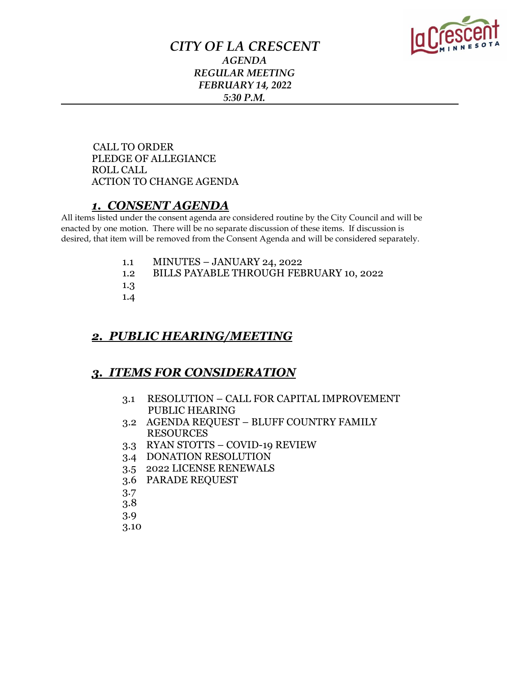

## *CITY OF LA CRESCENT AGENDA REGULAR MEETING FEBRUARY 14, 2022 5:30 P.M.*

 CALL TO ORDER PLEDGE OF ALLEGIANCE ROLL CALL ACTION TO CHANGE AGENDA

## *1. CONSENT AGENDA*

All items listed under the consent agenda are considered routine by the City Council and will be enacted by one motion. There will be no separate discussion of these items. If discussion is desired, that item will be removed from the Consent Agenda and will be considered separately.

- 1.1 MINUTES JANUARY 24, 2022
- 1.2 BILLS PAYABLE THROUGH FEBRUARY 10, 2022
- 1.3
- 1.4

## *2. PUBLIC HEARING/MEETING*

## *3. ITEMS FOR CONSIDERATION*

- 3.1 RESOLUTION CALL FOR CAPITAL IMPROVEMENT PUBLIC HEARING
- 3.2 AGENDA REQUEST BLUFF COUNTRY FAMILY RESOURCES
- 3.3 RYAN STOTTS COVID-19 REVIEW
- 3.4 DONATION RESOLUTION
- 3.5 2022 LICENSE RENEWALS
- 3.6 PARADE REQUEST
- 3.7
- 3.8
- 3.9
- 3.10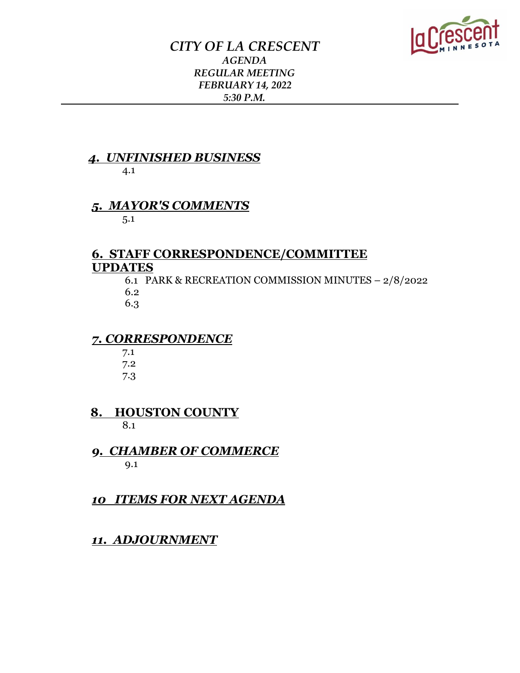

## *CITY OF LA CRESCENT AGENDA REGULAR MEETING FEBRUARY 14, 2022 5:30 P.M.*

#### *4. UNFINISHED BUSINESS* 4.1

# *5. MAYOR'S COMMENTS*

5.1

## **6. STAFF CORRESPONDENCE/COMMITTEE UPDATES**

 6.1 PARK & RECREATION COMMISSION MINUTES – 2/8/2022 6.2

6.3

### *7. CORRESPONDENCE*

 7.1 7.2 7.3

 **8. HOUSTON COUNTY**  8.1

 *9. CHAMBER OF COMMERCE*  9.1

*10 ITEMS FOR NEXT AGENDA*

*11. ADJOURNMENT*